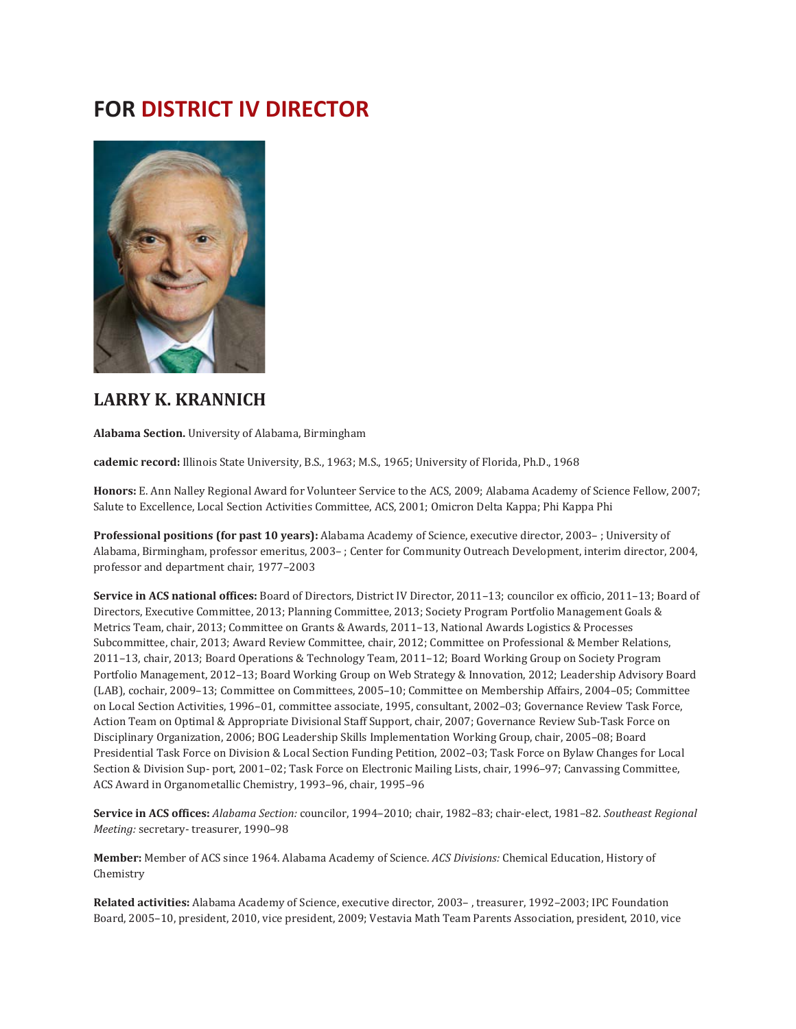## **FOR DISTRICT IV DIRECTOR**



## **LARRY K. KRANNICH**

**Alabama Section.** University of Alabama, Birmingham

**cademic record:** Illinois State University, B.S., 1963; M.S., 1965; University of Florida, Ph.D., 1968

**Honors:** E. Ann Nalley Regional Award for Volunteer Service to the ACS, 2009; Alabama Academy of Science Fellow, 2007; Salute to Excellence, Local Section Activities Committee, ACS, 2001; Omicron Delta Kappa; Phi Kappa Phi

**Professional positions (for past 10 years):** Alabama Academy of Science, executive director, 2003– ; University of Alabama, Birmingham, professor emeritus, 2003– ; Center for Community Outreach Development, interim director, 2004, professor and department chair, 1977–2003

**Service in ACS national offices:** Board of Directors, District IV Director, 2011–13; councilor ex officio, 2011–13; Board of Directors, Executive Committee, 2013; Planning Committee, 2013; Society Program Portfolio Management Goals & Metrics Team, chair, 2013; Committee on Grants & Awards, 2011–13, National Awards Logistics & Processes Subcommittee, chair, 2013; Award Review Committee, chair, 2012; Committee on Professional & Member Relations, 2011–13, chair, 2013; Board Operations & Technology Team, 2011–12; Board Working Group on Society Program Portfolio Management, 2012–13; Board Working Group on Web Strategy & Innovation, 2012; Leadership Advisory Board (LAB), cochair, 2009–13; Committee on Committees, 2005–10; Committee on Membership Affairs, 2004–05; Committee on Local Section Activities, 1996–01, committee associate, 1995, consultant, 2002–03; Governance Review Task Force, Action Team on Optimal & Appropriate Divisional Staff Support, chair, 2007; Governance Review Sub-Task Force on Disciplinary Organization, 2006; BOG Leadership Skills Implementation Working Group, chair, 2005–08; Board Presidential Task Force on Division & Local Section Funding Petition, 2002–03; Task Force on Bylaw Changes for Local Section & Division Sup- port, 2001–02; Task Force on Electronic Mailing Lists, chair, 1996–97; Canvassing Committee, ACS Award in Organometallic Chemistry, 1993–96, chair, 1995–96

**Service in ACS offices:** *Alabama Section:* councilor, 1994–2010; chair, 1982–83; chair-elect, 1981–82. *Southeast Regional Meeting:* secretary- treasurer, 1990–98

**Member:** Member of ACS since 1964. Alabama Academy of Science. *ACS Divisions:* Chemical Education, History of Chemistry

**Related activities:** Alabama Academy of Science, executive director, 2003– , treasurer, 1992–2003; IPC Foundation Board, 2005–10, president, 2010, vice president, 2009; Vestavia Math Team Parents Association, president, 2010, vice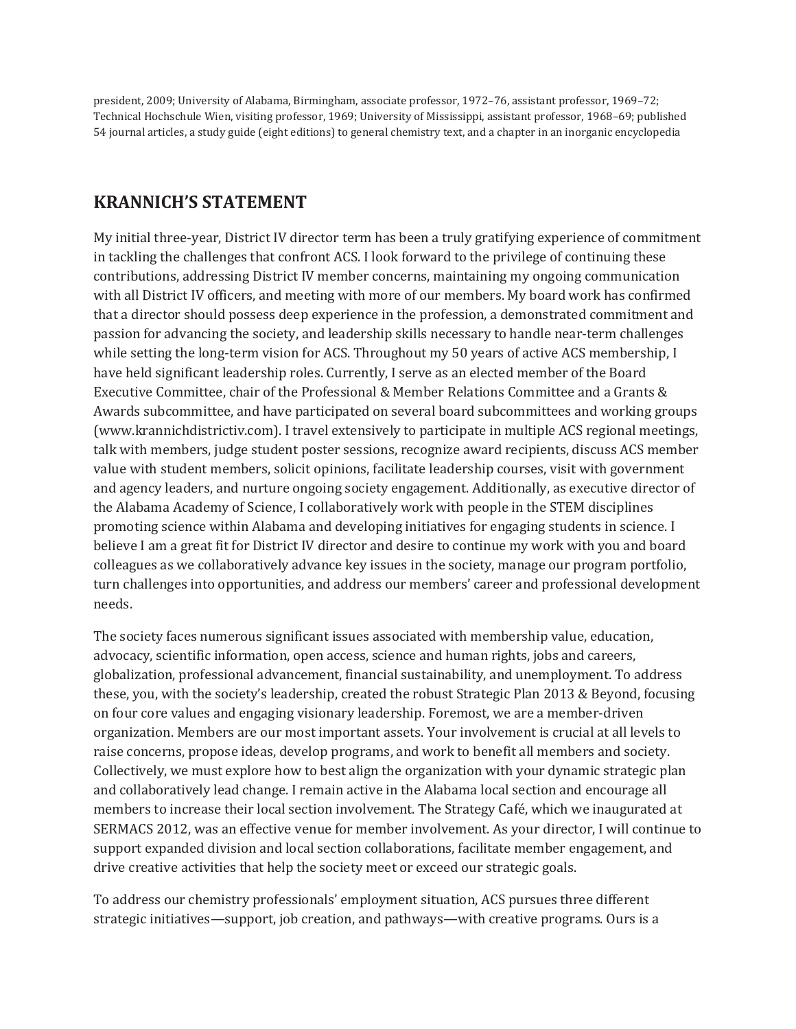president, 2009; University of Alabama, Birmingham, associate professor, 1972–76, assistant professor, 1969–72; Technical Hochschule Wien, visiting professor, 1969; University of Mississippi, assistant professor, 1968–69; published 54 journal articles, a study guide (eight editions) to general chemistry text, and a chapter in an inorganic encyclopedia

## **KRANNICH'S STATEMENT**

My initial three-year, District IV director term has been a truly gratifying experience of commitment in tackling the challenges that confront ACS. I look forward to the privilege of continuing these contributions, addressing District IV member concerns, maintaining my ongoing communication with all District IV officers, and meeting with more of our members. My board work has confirmed that a director should possess deep experience in the profession, a demonstrated commitment and passion for advancing the society, and leadership skills necessary to handle near-term challenges while setting the long-term vision for ACS. Throughout my 50 years of active ACS membership, I have held significant leadership roles. Currently, I serve as an elected member of the Board Executive Committee, chair of the Professional & Member Relations Committee and a Grants & Awards subcommittee, and have participated on several board subcommittees and working groups (www.krannichdistrictiv.com). I travel extensively to participate in multiple ACS regional meetings, talk with members, judge student poster sessions, recognize award recipients, discuss ACS member value with student members, solicit opinions, facilitate leadership courses, visit with government and agency leaders, and nurture ongoing society engagement. Additionally, as executive director of the Alabama Academy of Science, I collaboratively work with people in the STEM disciplines promoting science within Alabama and developing initiatives for engaging students in science. I believe I am a great fit for District IV director and desire to continue my work with you and board colleagues as we collaboratively advance key issues in the society, manage our program portfolio, turn challenges into opportunities, and address our members' career and professional development needs.

The society faces numerous significant issues associated with membership value, education, advocacy, scientific information, open access, science and human rights, jobs and careers, globalization, professional advancement, financial sustainability, and unemployment. To address these, you, with the society's leadership, created the robust Strategic Plan 2013 & Beyond, focusing on four core values and engaging visionary leadership. Foremost, we are a member-driven organization. Members are our most important assets. Your involvement is crucial at all levels to raise concerns, propose ideas, develop programs, and work to benefit all members and society. Collectively, we must explore how to best align the organization with your dynamic strategic plan and collaboratively lead change. I remain active in the Alabama local section and encourage all members to increase their local section involvement. The Strategy Café, which we inaugurated at SERMACS 2012, was an effective venue for member involvement. As your director, I will continue to support expanded division and local section collaborations, facilitate member engagement, and drive creative activities that help the society meet or exceed our strategic goals.

To address our chemistry professionals' employment situation, ACS pursues three different strategic initiatives—support, job creation, and pathways—with creative programs. Ours is a